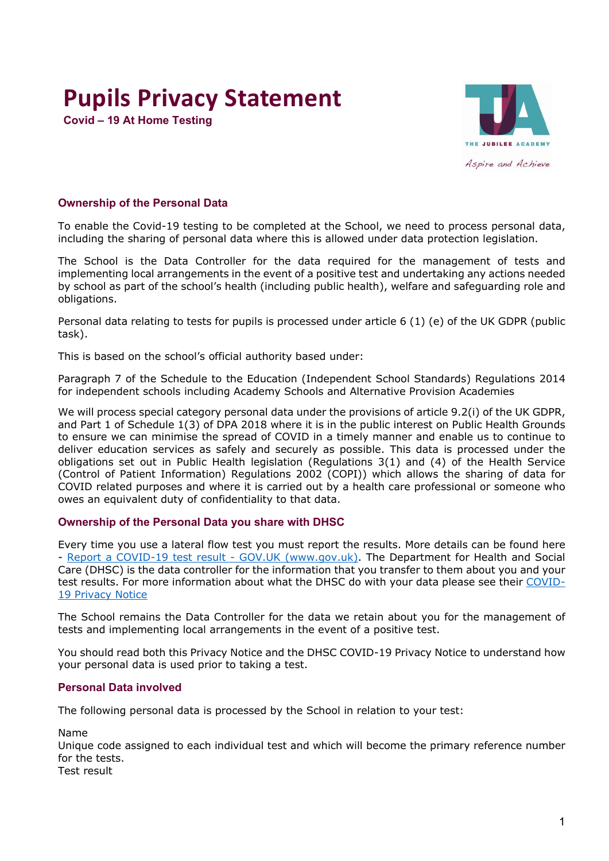# **Pupils Privacy Statement**

**Covid – 19 At Home Testing** 



# **Ownership of the Personal Data**

To enable the Covid-19 testing to be completed at the School, we need to process personal data, including the sharing of personal data where this is allowed under data protection legislation.

The School is the Data Controller for the data required for the management of tests and implementing local arrangements in the event of a positive test and undertaking any actions needed by school as part of the school's health (including public health), welfare and safeguarding role and obligations.

Personal data relating to tests for pupils is processed under article 6 (1) (e) of the UK GDPR (public task).

This is based on the school's official authority based under:

Paragraph 7 of the Schedule to the Education (Independent School Standards) Regulations 2014 for independent schools including Academy Schools and Alternative Provision Academies

We will process special category personal data under the provisions of article 9.2(i) of the UK GDPR, and Part 1 of Schedule 1(3) of DPA 2018 where it is in the public interest on Public Health Grounds to ensure we can minimise the spread of COVID in a timely manner and enable us to continue to deliver education services as safely and securely as possible. This data is processed under the obligations set out in Public Health legislation (Regulations 3(1) and (4) of the Health Service (Control of Patient Information) Regulations 2002 (COPI)) which allows the sharing of data for COVID related purposes and where it is carried out by a health care professional or someone who owes an equivalent duty of confidentiality to that data.

#### **Ownership of the Personal Data you share with DHSC**

Every time you use a lateral flow test you must report the results. More details can be found here - [Report a COVID-19 test result -](https://www.gov.uk/report-covid19-result) GOV.UK (www.gov.uk). The Department for Health and Social Care (DHSC) is the data controller for the information that you transfer to them about you and your test results. For more information about what the DHSC do with your data please see their [COVID-](https://www.gov.uk/government/publications/coronavirus-covid-19-testing-privacy-information)[19 Privacy Notice](https://www.gov.uk/government/publications/coronavirus-covid-19-testing-privacy-information)

The School remains the Data Controller for the data we retain about you for the management of tests and implementing local arrangements in the event of a positive test.

You should read both this Privacy Notice and the DHSC COVID-19 Privacy Notice to understand how your personal data is used prior to taking a test.

# **Personal Data involved**

The following personal data is processed by the School in relation to your test:

Name

Unique code assigned to each individual test and which will become the primary reference number for the tests.

Test result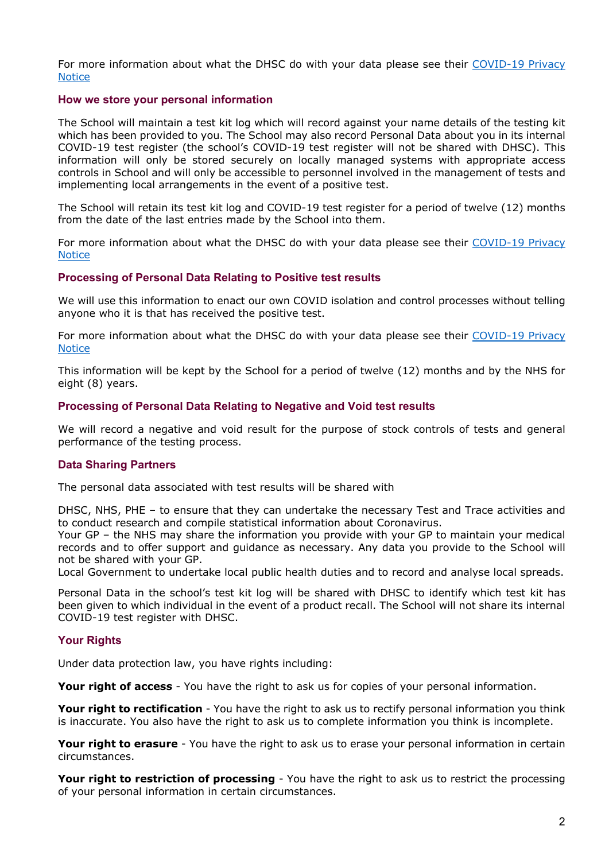For more information about what the DHSC do with your data please see their [COVID-19 Privacy](https://www.gov.uk/government/publications/coronavirus-covid-19-testing-privacy-information)  **[Notice](https://www.gov.uk/government/publications/coronavirus-covid-19-testing-privacy-information)** 

### **How we store your personal information**

The School will maintain a test kit log which will record against your name details of the testing kit which has been provided to you. The School may also record Personal Data about you in its internal COVID-19 test register (the school's COVID-19 test register will not be shared with DHSC). This information will only be stored securely on locally managed systems with appropriate access controls in School and will only be accessible to personnel involved in the management of tests and implementing local arrangements in the event of a positive test.

The School will retain its test kit log and COVID-19 test register for a period of twelve (12) months from the date of the last entries made by the School into them.

For more information about what the DHSC do with your data please see their [COVID-19 Privacy](https://www.gov.uk/government/publications/coronavirus-covid-19-testing-privacy-information)  **[Notice](https://www.gov.uk/government/publications/coronavirus-covid-19-testing-privacy-information)** 

## **Processing of Personal Data Relating to Positive test results**

We will use this information to enact our own COVID isolation and control processes without telling anyone who it is that has received the positive test.

For more information about what the DHSC do with your data please see their [COVID-19 Privacy](https://www.gov.uk/government/publications/coronavirus-covid-19-testing-privacy-information)  **[Notice](https://www.gov.uk/government/publications/coronavirus-covid-19-testing-privacy-information)** 

This information will be kept by the School for a period of twelve (12) months and by the NHS for eight (8) years.

## **Processing of Personal Data Relating to Negative and Void test results**

We will record a negative and void result for the purpose of stock controls of tests and general performance of the testing process.

#### **Data Sharing Partners**

The personal data associated with test results will be shared with

DHSC, NHS, PHE – to ensure that they can undertake the necessary Test and Trace activities and to conduct research and compile statistical information about Coronavirus.

Your GP – the NHS may share the information you provide with your GP to maintain your medical records and to offer support and guidance as necessary. Any data you provide to the School will not be shared with your GP.

Local Government to undertake local public health duties and to record and analyse local spreads.

Personal Data in the school's test kit log will be shared with DHSC to identify which test kit has been given to which individual in the event of a product recall. The School will not share its internal COVID-19 test register with DHSC.

# **Your Rights**

Under data protection law, you have rights including:

**Your right of access** - You have the right to ask us for copies of your personal information.

**Your right to rectification** - You have the right to ask us to rectify personal information you think is inaccurate. You also have the right to ask us to complete information you think is incomplete.

**Your right to erasure** - You have the right to ask us to erase your personal information in certain circumstances.

**Your right to restriction of processing** - You have the right to ask us to restrict the processing of your personal information in certain circumstances.